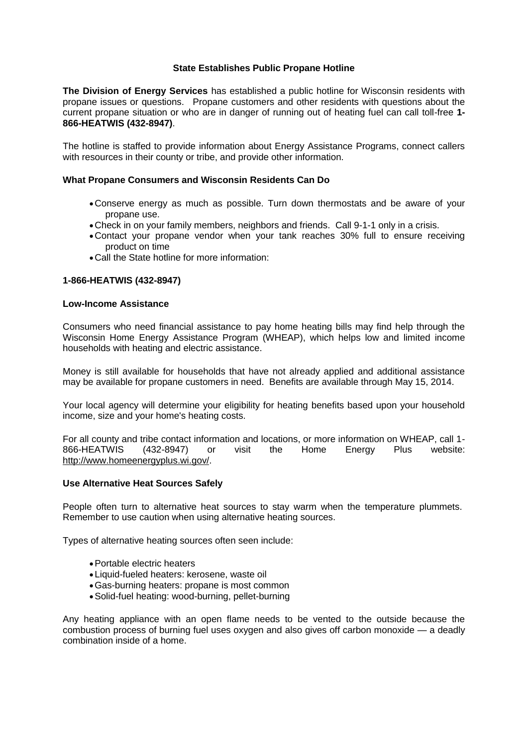# **State Establishes Public Propane Hotline**

**The Division of Energy Services** has established a public hotline for Wisconsin residents with propane issues or questions. Propane customers and other residents with questions about the current propane situation or who are in danger of running out of heating fuel can call toll-free **1- 866-HEATWIS (432-8947)**.

The hotline is staffed to provide information about Energy Assistance Programs, connect callers with resources in their county or tribe, and provide other information.

## **What Propane Consumers and Wisconsin Residents Can Do**

- Conserve energy as much as possible. Turn down thermostats and be aware of your propane use.
- Check in on your family members, neighbors and friends. Call 9-1-1 only in a crisis.
- Contact your propane vendor when your tank reaches 30% full to ensure receiving product on time
- Call the State hotline for more information:

### **1-866-HEATWIS (432-8947)**

#### **Low-Income Assistance**

Consumers who need financial assistance to pay home heating bills may find help through the Wisconsin Home Energy Assistance Program (WHEAP), which helps low and limited income households with heating and electric assistance.

Money is still available for households that have not already applied and additional assistance may be available for propane customers in need. Benefits are available through May 15, 2014.

Your local agency will determine your eligibility for heating benefits based upon your household income, size and your home's heating costs.

For all county and tribe contact information and locations, or more information on WHEAP, call 1- 866-HEATWIS (432-8947) or visit the Home Energy Plus website: http://www.homeenergyplus.wi.gov/.

## **Use Alternative Heat Sources Safely**

People often turn to alternative heat sources to stay warm when the temperature plummets. Remember to use caution when using alternative heating sources.

Types of alternative heating sources often seen include:

- Portable electric heaters
- Liquid-fueled heaters: kerosene, waste oil
- Gas-burning heaters: propane is most common
- Solid-fuel heating: wood-burning, pellet-burning

Any heating appliance with an open flame needs to be vented to the outside because the combustion process of burning fuel uses oxygen and also gives off carbon monoxide — a deadly combination inside of a home.